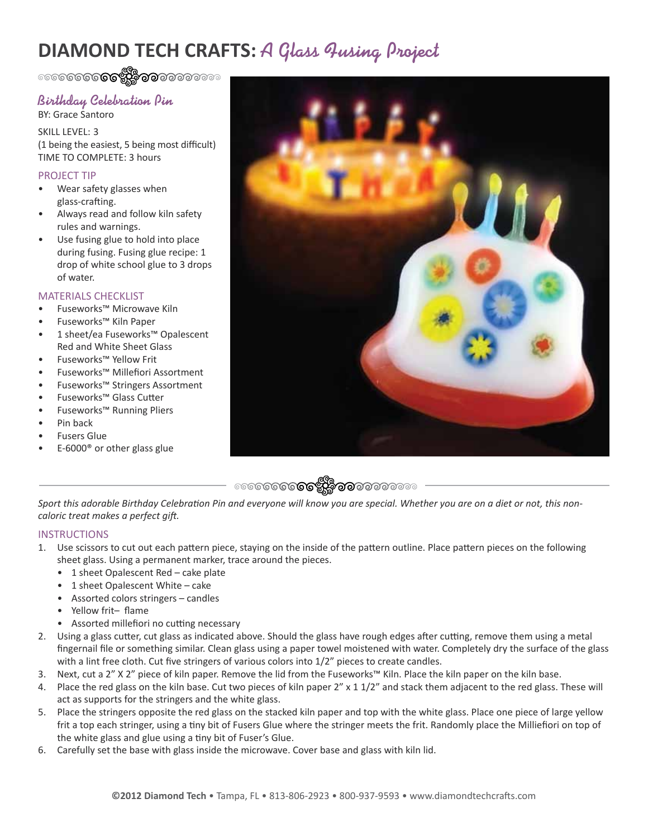# **DIAMOND TECH CRAFTS:** A Glass Qusing Project

ೕ**ೕೲೲೲ಄಄ಀ಄಄**ೲೲೲೲ

### Birthday Celebration Pin BY: Grace Santoro

SKILL LEVEL: 3 (1 being the easiest, 5 being most difficult) TIME TO COMPLETE: 3 hours

### PROJECT TIP

- Wear safety glasses when glass-crafting.
- Always read and follow kiln safety rules and warnings.
- Use fusing glue to hold into place during fusing. Fusing glue recipe: 1 drop of white school glue to 3 drops of water.

## MATERIALS CHECKLIST

- Fuseworks™ Microwave Kiln
- Fuseworks™ Kiln Paper
- 1 sheet/ea Fuseworks™ Opalescent Red and White Sheet Glass
- Fuseworks™ Yellow Frit
- Fuseworks™ Millefiori Assortment
- Fuseworks™ Stringers Assortment
- Fuseworks™ Glass Cutter
- Fuseworks™ Running Pliers
- Pin back
- Fusers Glue
- E-6000® or other glass glue





*Sport this adorable Birthday Celebration Pin and everyone will know you are special. Whether you are on a diet or not, this noncaloric treat makes a perfect gift.*

#### **INSTRUCTIONS**

- 1. Use scissors to cut out each pattern piece, staying on the inside of the pattern outline. Place pattern pieces on the following sheet glass. Using a permanent marker, trace around the pieces.
	- 1 sheet Opalescent Red cake plate
	- 1 sheet Opalescent White cake
	- Assorted colors stringers candles
	- Yellow frit– flame
	- Assorted millefiori no cutting necessary
- 2. Using a glass cutter, cut glass as indicated above. Should the glass have rough edges after cutting, remove them using a metal fingernail file or something similar. Clean glass using a paper towel moistened with water. Completely dry the surface of the glass with a lint free cloth. Cut five stringers of various colors into  $1/2$ " pieces to create candles.
- 3. Next, cut a 2" X 2" piece of kiln paper. Remove the lid from the Fuseworks™ Kiln. Place the kiln paper on the kiln base.
- 4. Place the red glass on the kiln base. Cut two pieces of kiln paper 2" x 1 1/2" and stack them adjacent to the red glass. These will act as supports for the stringers and the white glass.
- 5. Place the stringers opposite the red glass on the stacked kiln paper and top with the white glass. Place one piece of large yellow frit a top each stringer, using a tiny bit of Fusers Glue where the stringer meets the frit. Randomly place the Milliefiori on top of the white glass and glue using a tiny bit of Fuser's Glue.
- 6. Carefully set the base with glass inside the microwave. Cover base and glass with kiln lid.